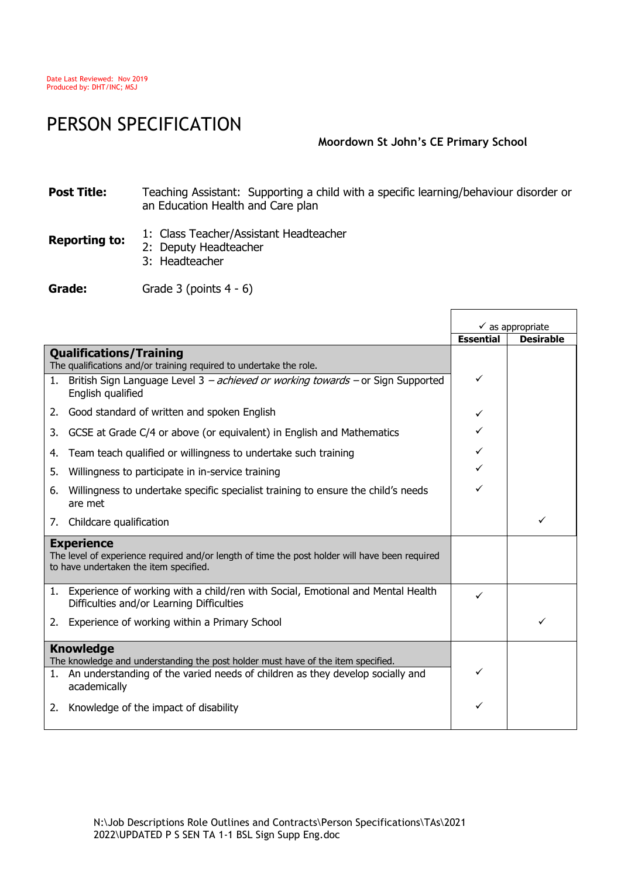## PERSON SPECIFICATION

## **Moordown St John's CE Primary School**

 $\mathsf{r}$ 

٦

## **Post Title:** Teaching Assistant: Supporting a child with a specific learning/behaviour disorder or an Education Health and Care plan

**Reporting to:** 1: Class Teacher/Assistant Headteacher

- 2: Deputy Headteacher
	- 3: Headteacher

Grade: Grade 3 (points 4 - 6)

|                                                                                                                                                               |                                                                                    | $\checkmark$ as appropriate |                  |
|---------------------------------------------------------------------------------------------------------------------------------------------------------------|------------------------------------------------------------------------------------|-----------------------------|------------------|
|                                                                                                                                                               |                                                                                    | <b>Essential</b>            | <b>Desirable</b> |
| <b>Qualifications/Training</b><br>The qualifications and/or training required to undertake the role.                                                          |                                                                                    |                             |                  |
| 1.<br>English qualified                                                                                                                                       | British Sign Language Level 3 - achieved or working towards - or Sign Supported    | ✓                           |                  |
| Good standard of written and spoken English<br>2.                                                                                                             |                                                                                    | ✓                           |                  |
| GCSE at Grade C/4 or above (or equivalent) in English and Mathematics<br>3.                                                                                   |                                                                                    | $\checkmark$                |                  |
| Team teach qualified or willingness to undertake such training<br>4.                                                                                          |                                                                                    | ✓                           |                  |
| Willingness to participate in in-service training<br>5.                                                                                                       |                                                                                    | ✓                           |                  |
| 6.<br>are met                                                                                                                                                 | Willingness to undertake specific specialist training to ensure the child's needs  | ✓                           |                  |
| Childcare qualification<br>7.                                                                                                                                 |                                                                                    |                             |                  |
| <b>Experience</b><br>The level of experience required and/or length of time the post holder will have been required<br>to have undertaken the item specified. |                                                                                    |                             |                  |
| Difficulties and/or Learning Difficulties                                                                                                                     | 1. Experience of working with a child/ren with Social, Emotional and Mental Health | ✓                           |                  |
| Experience of working within a Primary School<br>2.                                                                                                           |                                                                                    |                             | ✓                |
| <b>Knowledge</b><br>The knowledge and understanding the post holder must have of the item specified.                                                          |                                                                                    |                             |                  |
| academically                                                                                                                                                  | 1. An understanding of the varied needs of children as they develop socially and   |                             |                  |
| Knowledge of the impact of disability<br>2.                                                                                                                   |                                                                                    | ✓                           |                  |